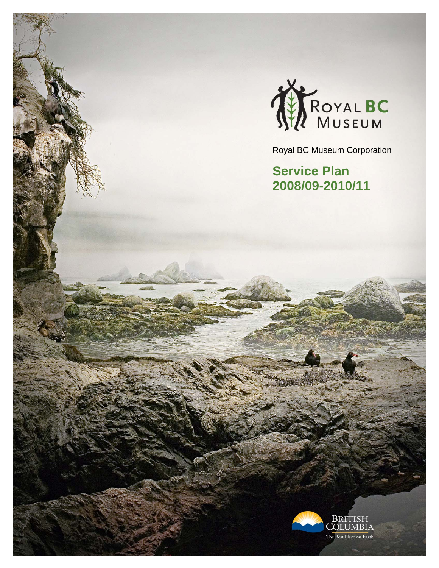

Royal BC Museum Corporation

**Service Plan 2008/09-2010/11**

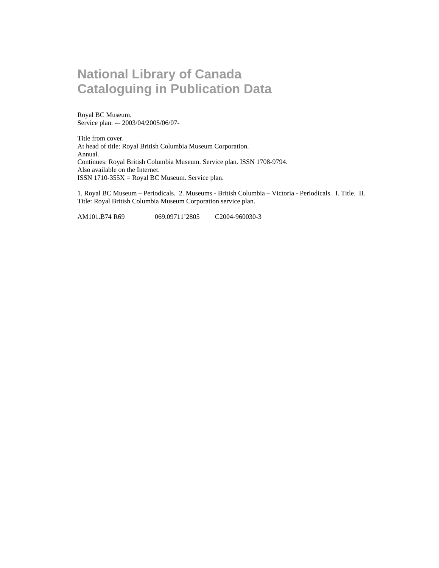### **National Library of Canada Cataloguing in Publication Data**

Royal BC Museum. Service plan. -– 2003/04/2005/06/07-

Title from cover. At head of title: Royal British Columbia Museum Corporation. Annual. Continues: Royal British Columbia Museum. Service plan. ISSN 1708-9794. Also available on the Internet. ISSN 1710-355 $X = Royal BC$  Museum. Service plan.

1. Royal BC Museum – Periodicals. 2. Museums - British Columbia – Victoria - Periodicals. I. Title. II. Title: Royal British Columbia Museum Corporation service plan.

AM101.B74 R69 069.09711'2805 C2004-960030-3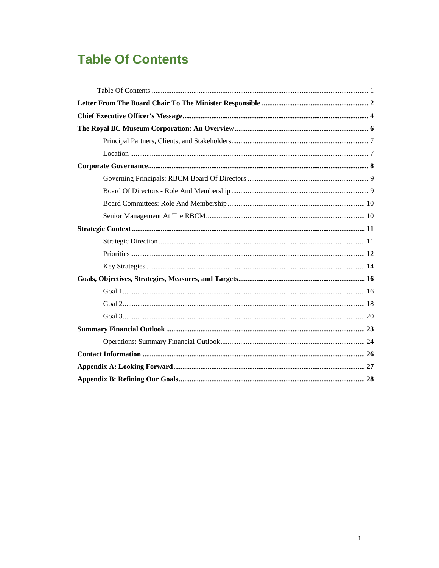# **Table Of Contents**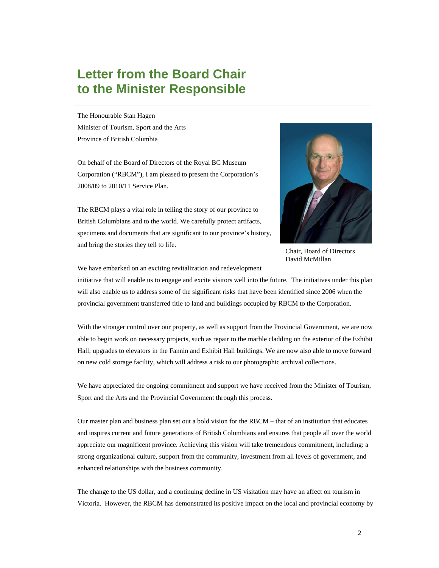### **Letter from the Board Chair to the Minister Responsible**

The Honourable Stan Hagen Minister of Tourism, Sport and the Arts Province of British Columbia

On behalf of the Board of Directors of the Royal BC Museum Corporation ("RBCM"), I am pleased to present the Corporation's 2008/09 to 2010/11 Service Plan.

The RBCM plays a vital role in telling the story of our province to British Columbians and to the world. We carefully protect artifacts, specimens and documents that are significant to our province's history, and bring the stories they tell to life.



Chair, Board of Directors David McMillan

We have embarked on an exciting revitalization and redevelopment

initiative that will enable us to engage and excite visitors well into the future. The initiatives under this plan will also enable us to address some of the significant risks that have been identified since 2006 when the provincial government transferred title to land and buildings occupied by RBCM to the Corporation.

With the stronger control over our property, as well as support from the Provincial Government, we are now able to begin work on necessary projects, such as repair to the marble cladding on the exterior of the Exhibit Hall; upgrades to elevators in the Fannin and Exhibit Hall buildings. We are now also able to move forward on new cold storage facility, which will address a risk to our photographic archival collections.

We have appreciated the ongoing commitment and support we have received from the Minister of Tourism, Sport and the Arts and the Provincial Government through this process.

Our master plan and business plan set out a bold vision for the RBCM – that of an institution that educates and inspires current and future generations of British Columbians and ensures that people all over the world appreciate our magnificent province. Achieving this vision will take tremendous commitment, including: a strong organizational culture, support from the community, investment from all levels of government, and enhanced relationships with the business community.

The change to the US dollar, and a continuing decline in US visitation may have an affect on tourism in Victoria. However, the RBCM has demonstrated its positive impact on the local and provincial economy by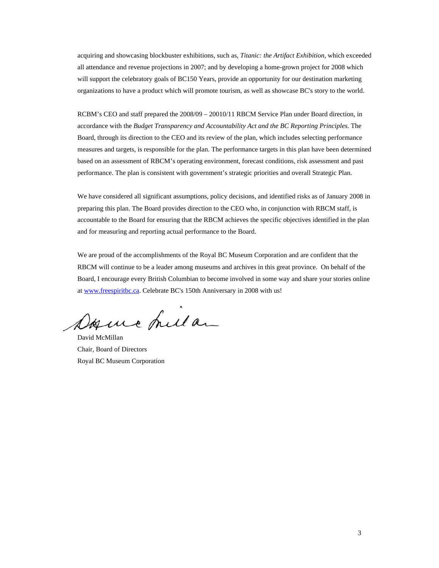acquiring and showcasing blockbuster exhibitions, such as, *Titanic: the Artifact Exhibition,* which exceeded all attendance and revenue projections in 2007; and by developing a home-grown project for 2008 which will support the celebratory goals of BC150 Years, provide an opportunity for our destination marketing organizations to have a product which will promote tourism, as well as showcase BC's story to the world.

RCBM's CEO and staff prepared the 2008/09 – 20010/11 RBCM Service Plan under Board direction, in accordance with the *Budget Transparency and Accountability Act and the BC Reporting Principles*. The Board, through its direction to the CEO and its review of the plan, which includes selecting performance measures and targets, is responsible for the plan. The performance targets in this plan have been determined based on an assessment of RBCM's operating environment, forecast conditions, risk assessment and past performance. The plan is consistent with government's strategic priorities and overall Strategic Plan.

We have considered all significant assumptions, policy decisions, and identified risks as of January 2008 in preparing this plan. The Board provides direction to the CEO who, in conjunction with RBCM staff, is accountable to the Board for ensuring that the RBCM achieves the specific objectives identified in the plan and for measuring and reporting actual performance to the Board.

We are proud of the accomplishments of the Royal BC Museum Corporation and are confident that the RBCM will continue to be a leader among museums and archives in this great province. On behalf of the Board, I encourage every British Columbian to become involved in some way and share your stories online at www.freespiritbc.ca. Celebrate BC's 150th Anniversary in 2008 with us!

Dogue hila

David McMillan Chair, Board of Directors Royal BC Museum Corporation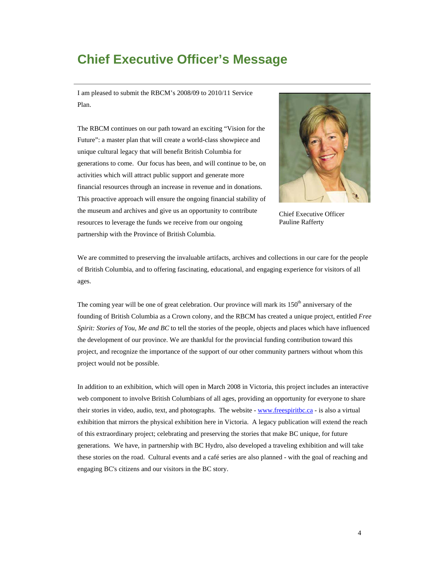### **Chief Executive Officer's Message**

I am pleased to submit the RBCM's 2008/09 to 2010/11 Service Plan.

The RBCM continues on our path toward an exciting "Vision for the Future": a master plan that will create a world-class showpiece and unique cultural legacy that will benefit British Columbia for generations to come. Our focus has been, and will continue to be, on activities which will attract public support and generate more financial resources through an increase in revenue and in donations. This proactive approach will ensure the ongoing financial stability of the museum and archives and give us an opportunity to contribute resources to leverage the funds we receive from our ongoing partnership with the Province of British Columbia.



Chief Executive Officer Pauline Rafferty

We are committed to preserving the invaluable artifacts, archives and collections in our care for the people of British Columbia, and to offering fascinating, educational, and engaging experience for visitors of all ages.

The coming year will be one of great celebration. Our province will mark its 150<sup>th</sup> anniversary of the founding of British Columbia as a Crown colony, and the RBCM has created a unique project, entitled *Free Spirit: Stories of You, Me and BC* to tell the stories of the people, objects and places which have influenced the development of our province. We are thankful for the provincial funding contribution toward this project, and recognize the importance of the support of our other community partners without whom this project would not be possible.

In addition to an exhibition, which will open in March 2008 in Victoria, this project includes an interactive web component to involve British Columbians of all ages, providing an opportunity for everyone to share their stories in video, audio, text, and photographs. The website - www.freespiritbc.ca - is also a virtual exhibition that mirrors the physical exhibition here in Victoria. A legacy publication will extend the reach of this extraordinary project; celebrating and preserving the stories that make BC unique, for future generations. We have, in partnership with BC Hydro, also developed a traveling exhibition and will take these stories on the road. Cultural events and a café series are also planned - with the goal of reaching and engaging BC's citizens and our visitors in the BC story.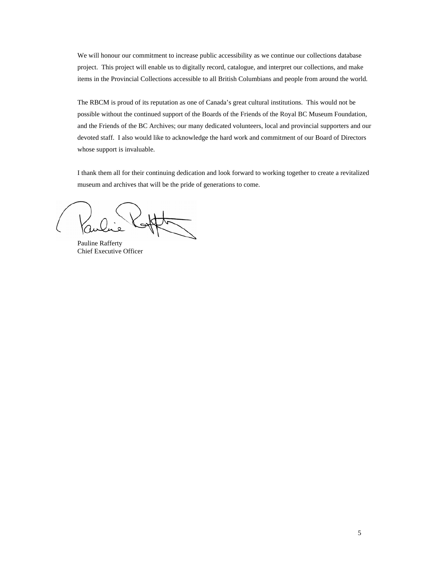We will honour our commitment to increase public accessibility as we continue our collections database project. This project will enable us to digitally record, catalogue, and interpret our collections, and make items in the Provincial Collections accessible to all British Columbians and people from around the world.

The RBCM is proud of its reputation as one of Canada's great cultural institutions. This would not be possible without the continued support of the Boards of the Friends of the Royal BC Museum Foundation, and the Friends of the BC Archives; our many dedicated volunteers, local and provincial supporters and our devoted staff. I also would like to acknowledge the hard work and commitment of our Board of Directors whose support is invaluable.

I thank them all for their continuing dedication and look forward to working together to create a revitalized museum and archives that will be the pride of generations to come.

Pauline Rafferty Chief Executive Officer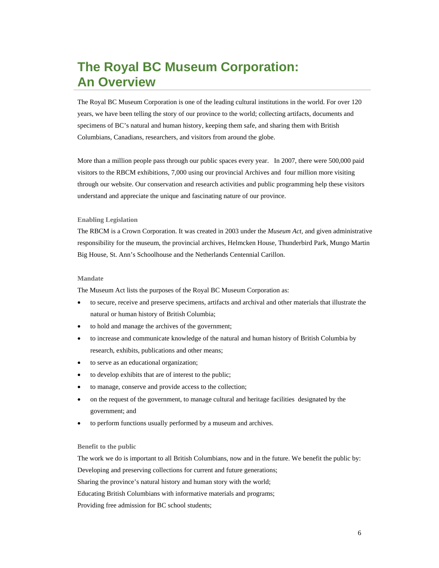### **The Royal BC Museum Corporation: An Overview**

The Royal BC Museum Corporation is one of the leading cultural institutions in the world. For over 120 years, we have been telling the story of our province to the world; collecting artifacts, documents and specimens of BC's natural and human history, keeping them safe, and sharing them with British Columbians, Canadians, researchers, and visitors from around the globe.

More than a million people pass through our public spaces every year. In 2007, there were 500,000 paid visitors to the RBCM exhibitions, 7,000 using our provincial Archives and four million more visiting through our website. Our conservation and research activities and public programming help these visitors understand and appreciate the unique and fascinating nature of our province.

#### **Enabling Legislation**

The RBCM is a Crown Corporation. It was created in 2003 under the *Museum Act,* and given administrative responsibility for the museum, the provincial archives, Helmcken House, Thunderbird Park, Mungo Martin Big House, St. Ann's Schoolhouse and the Netherlands Centennial Carillon.

#### **Mandate**

The Museum Act lists the purposes of the Royal BC Museum Corporation as:

- to secure, receive and preserve specimens, artifacts and archival and other materials that illustrate the natural or human history of British Columbia;
- to hold and manage the archives of the government;
- to increase and communicate knowledge of the natural and human history of British Columbia by research, exhibits, publications and other means;
- to serve as an educational organization;
- to develop exhibits that are of interest to the public;
- to manage, conserve and provide access to the collection;
- on the request of the government, to manage cultural and heritage facilities designated by the government; and
- to perform functions usually performed by a museum and archives.

#### **Benefit to the public**

The work we do is important to all British Columbians, now and in the future. We benefit the public by: Developing and preserving collections for current and future generations;

Sharing the province's natural history and human story with the world;

Educating British Columbians with informative materials and programs;

Providing free admission for BC school students;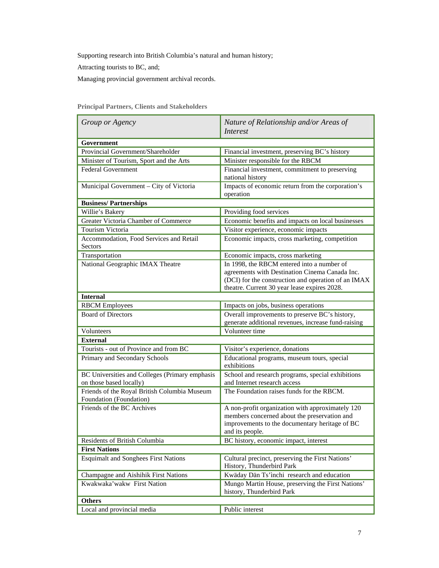Supporting research into British Columbia's natural and human history;

Attracting tourists to BC, and;

Managing provincial government archival records.

| Group or Agency                                                           | Nature of Relationship and/or Areas of<br><i>Interest</i>                                                                                                                                           |  |  |
|---------------------------------------------------------------------------|-----------------------------------------------------------------------------------------------------------------------------------------------------------------------------------------------------|--|--|
| Government                                                                |                                                                                                                                                                                                     |  |  |
| Provincial Government/Shareholder                                         | Financial investment, preserving BC's history                                                                                                                                                       |  |  |
| Minister of Tourism, Sport and the Arts                                   | Minister responsible for the RBCM                                                                                                                                                                   |  |  |
| <b>Federal Government</b>                                                 | Financial investment, commitment to preserving<br>national history                                                                                                                                  |  |  |
| Municipal Government - City of Victoria                                   | Impacts of economic return from the corporation's<br>operation                                                                                                                                      |  |  |
| <b>Business/Partnerships</b>                                              |                                                                                                                                                                                                     |  |  |
| Willie's Bakery                                                           | Providing food services                                                                                                                                                                             |  |  |
| Greater Victoria Chamber of Commerce                                      | Economic benefits and impacts on local businesses                                                                                                                                                   |  |  |
| Tourism Victoria                                                          | Visitor experience, economic impacts                                                                                                                                                                |  |  |
| Accommodation, Food Services and Retail<br>Sectors                        | Economic impacts, cross marketing, competition                                                                                                                                                      |  |  |
| Transportation                                                            | Economic impacts, cross marketing                                                                                                                                                                   |  |  |
| National Geographic IMAX Theatre                                          | In 1998, the RBCM entered into a number of<br>agreements with Destination Cinema Canada Inc.<br>(DCI) for the construction and operation of an IMAX<br>theatre. Current 30 year lease expires 2028. |  |  |
| <b>Internal</b>                                                           |                                                                                                                                                                                                     |  |  |
| <b>RBCM</b> Employees                                                     | Impacts on jobs, business operations                                                                                                                                                                |  |  |
| <b>Board of Directors</b>                                                 | Overall improvements to preserve BC's history,<br>generate additional revenues, increase fund-raising                                                                                               |  |  |
| Volunteers                                                                | Volunteer time                                                                                                                                                                                      |  |  |
| <b>External</b>                                                           |                                                                                                                                                                                                     |  |  |
| Tourists - out of Province and from BC                                    | Visitor's experience, donations                                                                                                                                                                     |  |  |
| Primary and Secondary Schools                                             | Educational programs, museum tours, special<br>exhibitions                                                                                                                                          |  |  |
| BC Universities and Colleges (Primary emphasis<br>on those based locally) | School and research programs, special exhibitions<br>and Internet research access                                                                                                                   |  |  |
| Friends of the Royal British Columbia Museum<br>Foundation (Foundation)   | The Foundation raises funds for the RBCM.                                                                                                                                                           |  |  |
| Friends of the BC Archives                                                | A non-profit organization with approximately 120<br>members concerned about the preservation and<br>improvements to the documentary heritage of BC<br>and its people.                               |  |  |
| Residents of British Columbia                                             | BC history, economic impact, interest                                                                                                                                                               |  |  |
| <b>First Nations</b>                                                      |                                                                                                                                                                                                     |  |  |
| <b>Esquimalt and Songhees First Nations</b>                               | Cultural precinct, preserving the First Nations'<br>History, Thunderbird Park                                                                                                                       |  |  |
| Champagne and Aishihik First Nations                                      | Kwäday Dän Ts'inchi research and education                                                                                                                                                          |  |  |
| Kwakwaka'wakw First Nation                                                | Mungo Martin House, preserving the First Nations'<br>history, Thunderbird Park                                                                                                                      |  |  |
| <b>Others</b>                                                             |                                                                                                                                                                                                     |  |  |
| Local and provincial media                                                | Public interest                                                                                                                                                                                     |  |  |

**Principal Partners, Clients and Stakeholders**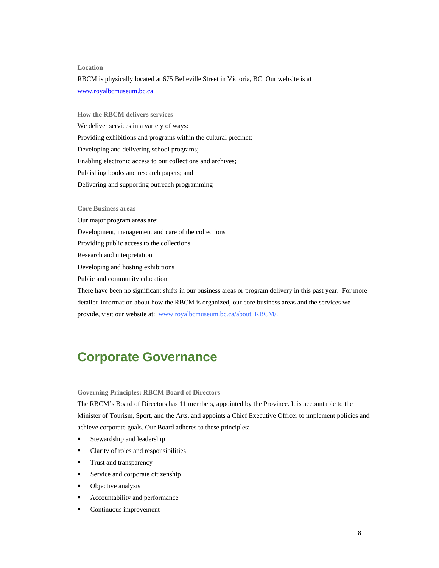#### **Location**

RBCM is physically located at 675 Belleville Street in Victoria, BC. Our website is at www.royalbcmuseum.bc.ca.

**How the RBCM delivers services**  We deliver services in a variety of ways: Providing exhibitions and programs within the cultural precinct; Developing and delivering school programs; Enabling electronic access to our collections and archives; Publishing books and research papers; and Delivering and supporting outreach programming

**Core Business areas** 

Our major program areas are:

Development, management and care of the collections

Providing public access to the collections

Research and interpretation

Developing and hosting exhibitions

Public and community education

There have been no significant shifts in our business areas or program delivery in this past year. For more detailed information about how the RBCM is organized, our core business areas and the services we provide, visit our website at: www.royalbcmuseum.bc.ca/about\_RBCM/.

### **Corporate Governance**

**Governing Principles: RBCM Board of Directors** 

The RBCM's Board of Directors has 11 members, appointed by the Province. It is accountable to the Minister of Tourism, Sport, and the Arts, and appoints a Chief Executive Officer to implement policies and achieve corporate goals. Our Board adheres to these principles:

- **Stewardship and leadership**
- Clarity of roles and responsibilities
- **Trust and transparency**
- Service and corporate citizenship
- Objective analysis
- **Accountability and performance**
- **Continuous improvement**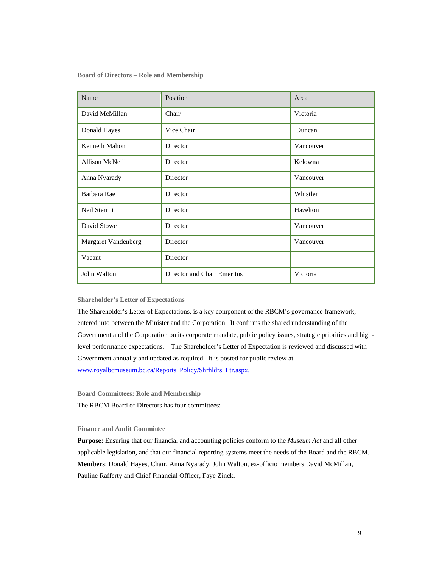**Board of Directors – Role and Membership** 

| Name                       | Position                    | Area      |
|----------------------------|-----------------------------|-----------|
| David McMillan             | Chair                       | Victoria  |
| Donald Hayes               | Vice Chair                  | Duncan    |
| Kenneth Mahon              | Director                    | Vancouver |
| <b>Allison McNeill</b>     | Director                    | Kelowna   |
| Anna Nyarady               | Director                    | Vancouver |
| Barbara Rae                | Director                    | Whistler  |
| Neil Sterritt              | Director                    | Hazelton  |
| David Stowe                | Director                    | Vancouver |
| <b>Margaret Vandenberg</b> | Director                    | Vancouver |
| Vacant                     | Director                    |           |
| John Walton                | Director and Chair Emeritus | Victoria  |

#### **Shareholder's Letter of Expectations**

The Shareholder's Letter of Expectations, is a key component of the RBCM's governance framework, entered into between the Minister and the Corporation. It confirms the shared understanding of the Government and the Corporation on its corporate mandate, public policy issues, strategic priorities and highlevel performance expectations. The Shareholder's Letter of Expectation is reviewed and discussed with Government annually and updated as required. It is posted for public review at www.royalbcmuseum.bc.ca/Reports\_Policy/Shrhldrs\_Ltr.aspx.

**Board Committees: Role and Membership** 

The RBCM Board of Directors has four committees:

#### **Finance and Audit Committee**

**Purpose:** Ensuring that our financial and accounting policies conform to the *Museum Act* and all other applicable legislation, and that our financial reporting systems meet the needs of the Board and the RBCM. **Members**: Donald Hayes, Chair, Anna Nyarady, John Walton, ex-officio members David McMillan, Pauline Rafferty and Chief Financial Officer, Faye Zinck.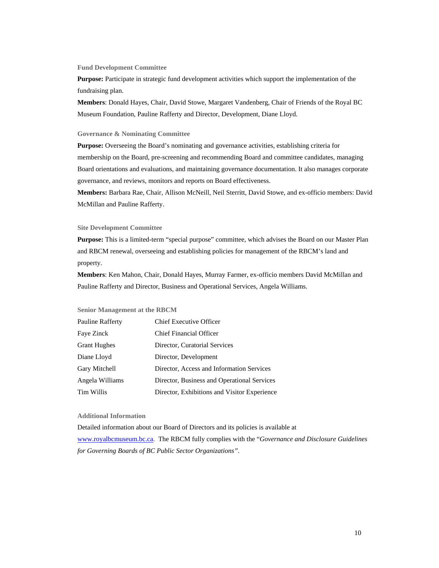#### **Fund Development Committee**

**Purpose:** Participate in strategic fund development activities which support the implementation of the fundraising plan.

**Members**: Donald Hayes, Chair, David Stowe, Margaret Vandenberg, Chair of Friends of the Royal BC Museum Foundation, Pauline Rafferty and Director, Development, Diane Lloyd.

#### **Governance & Nominating Committee**

**Purpose:** Overseeing the Board's nominating and governance activities, establishing criteria for membership on the Board, pre-screening and recommending Board and committee candidates, managing Board orientations and evaluations, and maintaining governance documentation. It also manages corporate governance, and reviews, monitors and reports on Board effectiveness.

**Members:** Barbara Rae, Chair, Allison McNeill, Neil Sterritt, David Stowe, and ex-officio members: David McMillan and Pauline Rafferty.

#### **Site Development Committee**

**Purpose:** This is a limited-term "special purpose" committee, which advises the Board on our Master Plan and RBCM renewal, overseeing and establishing policies for management of the RBCM's land and property.

**Members**: Ken Mahon, Chair, Donald Hayes, Murray Farmer, ex-officio members David McMillan and Pauline Rafferty and Director, Business and Operational Services, Angela Williams.

#### **Senior Management at the RBCM**

| Pauline Rafferty    | <b>Chief Executive Officer</b>               |
|---------------------|----------------------------------------------|
| Faye Zinck          | <b>Chief Financial Officer</b>               |
| <b>Grant Hughes</b> | Director, Curatorial Services                |
| Diane Lloyd         | Director, Development                        |
| Gary Mitchell       | Director, Access and Information Services    |
| Angela Williams     | Director, Business and Operational Services  |
| Tim Willis          | Director, Exhibitions and Visitor Experience |

#### **Additional Information**

Detailed information about our Board of Directors and its policies is available at www.royalbcmuseum.bc.ca. The RBCM fully complies with the "*Governance and Disclosure Guidelines for Governing Boards of BC Public Sector Organizations".*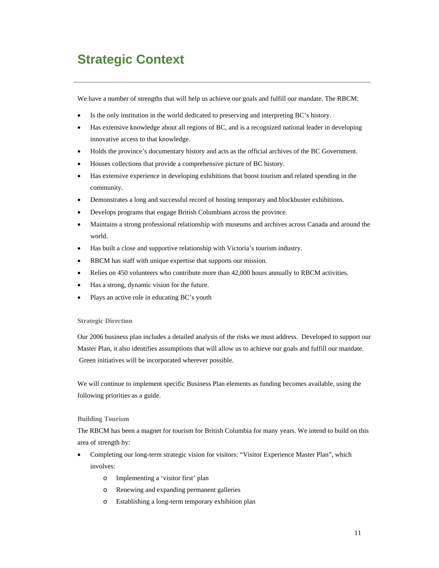### **Strategic Context**

We have a number of strengths that will help us achieve our goals and fulfill our mandate. The RBCM:

- Is the only institution in the world dedicated to preserving and interpreting BC's history.
- Has extensive knowledge about all regions of BC, and is a recognized national leader in developing innovative access to that knowledge.
- Holds the province's documentary history and acts as the official archives of the BC Government.
- Houses collections that provide a comprehensive picture of BC history.
- Has extensive experience in developing exhibitions that boost tourism and related spending in the community.
- Demonstrates a long and successful record of hosting temporary and blockbuster exhibitions.
- Develops programs that engage British Columbians across the province.
- Maintains a strong professional relationship with museums and archives across Canada and around the world.
- Has built a close and supportive relationship with Victoria's tourism industry.
- RBCM has staff with unique expertise that supports our mission.
- Relies on 450 volunteers who contribute more than 42,000 hours annually to RBCM activities.
- Has a strong, dynamic vision for the future.
- Plays an active role in educating BC's youth

#### **Strategic Direction**

Our 2006 business plan includes a detailed analysis of the risks we must address. Developed to support our Master Plan, it also identifies assumptions that will allow us to achieve our goals and fulfill our mandate. Green initiatives will be incorporated wherever possible.

We will continue to implement specific Business Plan elements as funding becomes available, using the following priorities as a guide.

#### **Building Tourism**

The RBCM has been a magnet for tourism for British Columbia for many years. We intend to build on this area of strength by:

- Completing our long-term strategic vision for visitors: "Visitor Experience Master Plan", which involves:
	- o Implementing a 'visitor first' plan
	- o Renewing and expanding permanent galleries
	- o Establishing a long-term temporary exhibition plan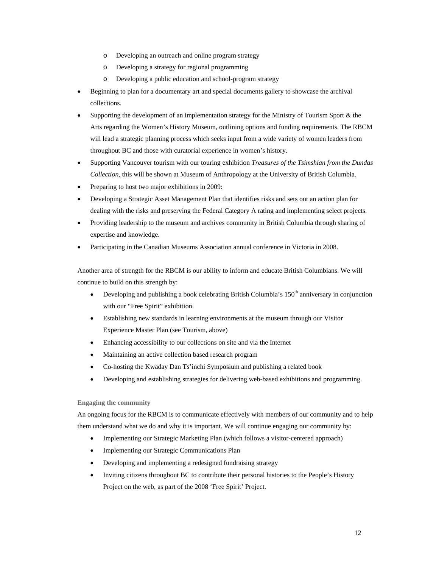- o Developing an outreach and online program strategy
- o Developing a strategy for regional programming
- o Developing a public education and school-program strategy
- Beginning to plan for a documentary art and special documents gallery to showcase the archival collections.
- Supporting the development of an implementation strategy for the Ministry of Tourism Sport & the Arts regarding the Women's History Museum, outlining options and funding requirements. The RBCM will lead a strategic planning process which seeks input from a wide variety of women leaders from throughout BC and those with curatorial experience in women's history.
- Supporting Vancouver tourism with our touring exhibition *Treasures of the Tsimshian from the Dundas Collection*, this will be shown at Museum of Anthropology at the University of British Columbia.
- Preparing to host two major exhibitions in 2009:
- Developing a Strategic Asset Management Plan that identifies risks and sets out an action plan for dealing with the risks and preserving the Federal Category A rating and implementing select projects.
- Providing leadership to the museum and archives community in British Columbia through sharing of expertise and knowledge.
- Participating in the Canadian Museums Association annual conference in Victoria in 2008.

Another area of strength for the RBCM is our ability to inform and educate British Columbians. We will continue to build on this strength by:

- Developing and publishing a book celebrating British Columbia's  $150<sup>th</sup>$  anniversary in conjunction with our "Free Spirit" exhibition.
- Establishing new standards in learning environments at the museum through our Visitor Experience Master Plan (see Tourism, above)
- Enhancing accessibility to our collections on site and via the Internet
- Maintaining an active collection based research program
- Co-hosting the Kwäday Dan Ts'ìnchi Symposium and publishing a related book
- Developing and establishing strategies for delivering web-based exhibitions and programming.

#### **Engaging the community**

An ongoing focus for the RBCM is to communicate effectively with members of our community and to help them understand what we do and why it is important. We will continue engaging our community by:

- Implementing our Strategic Marketing Plan (which follows a visitor-centered approach)
- Implementing our Strategic Communications Plan
- Developing and implementing a redesigned fundraising strategy
- Inviting citizens throughout BC to contribute their personal histories to the People's History Project on the web, as part of the 2008 'Free Spirit' Project.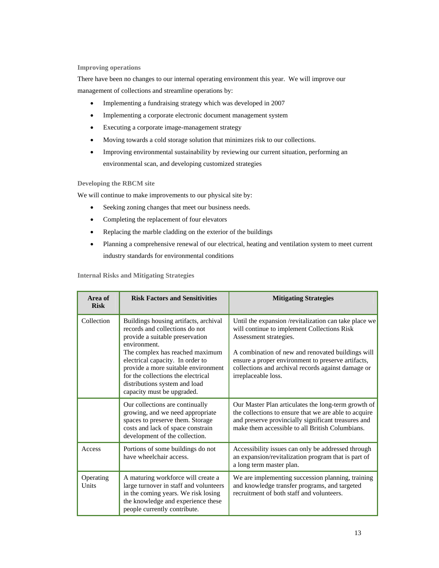#### **Improving operations**

There have been no changes to our internal operating environment this year. We will improve our management of collections and streamline operations by:

- Implementing a fundraising strategy which was developed in 2007
- Implementing a corporate electronic document management system
- Executing a corporate image-management strategy
- Moving towards a cold storage solution that minimizes risk to our collections.
- Improving environmental sustainability by reviewing our current situation, performing an environmental scan, and developing customized strategies

#### **Developing the RBCM site**

We will continue to make improvements to our physical site by:

- Seeking zoning changes that meet our business needs.
- Completing the replacement of four elevators
- Replacing the marble cladding on the exterior of the buildings
- Planning a comprehensive renewal of our electrical, heating and ventilation system to meet current industry standards for environmental conditions

**Internal Risks and Mitigating Strategies** 

| Area of<br><b>Risk</b> | <b>Risk Factors and Sensitivities</b>                                                                                                                                                                                                                                          | <b>Mitigating Strategies</b>                                                                                                                                                                                                                                                                                           |
|------------------------|--------------------------------------------------------------------------------------------------------------------------------------------------------------------------------------------------------------------------------------------------------------------------------|------------------------------------------------------------------------------------------------------------------------------------------------------------------------------------------------------------------------------------------------------------------------------------------------------------------------|
| Collection             | Buildings housing artifacts, archival<br>records and collections do not<br>provide a suitable preservation<br>environment.<br>The complex has reached maximum<br>electrical capacity. In order to<br>provide a more suitable environment<br>for the collections the electrical | Until the expansion /revitalization can take place we<br>will continue to implement Collections Risk<br>Assessment strategies.<br>A combination of new and renovated buildings will<br>ensure a proper environment to preserve artifacts,<br>collections and archival records against damage or<br>irreplaceable loss. |
|                        | distributions system and load<br>capacity must be upgraded.                                                                                                                                                                                                                    |                                                                                                                                                                                                                                                                                                                        |
|                        | Our collections are continually<br>growing, and we need appropriate<br>spaces to preserve them. Storage<br>costs and lack of space constrain<br>development of the collection.                                                                                                 | Our Master Plan articulates the long-term growth of<br>the collections to ensure that we are able to acquire<br>and preserve provincially significant treasures and<br>make them accessible to all British Columbians.                                                                                                 |
| Access                 | Portions of some buildings do not<br>have wheelchair access.                                                                                                                                                                                                                   | Accessibility issues can only be addressed through<br>an expansion/revitalization program that is part of<br>a long term master plan.                                                                                                                                                                                  |
| Operating<br>Units     | A maturing workforce will create a<br>large turnover in staff and volunteers<br>in the coming years. We risk losing<br>the knowledge and experience these<br>people currently contribute.                                                                                      | We are implementing succession planning, training<br>and knowledge transfer programs, and targeted<br>recruitment of both staff and volunteers.                                                                                                                                                                        |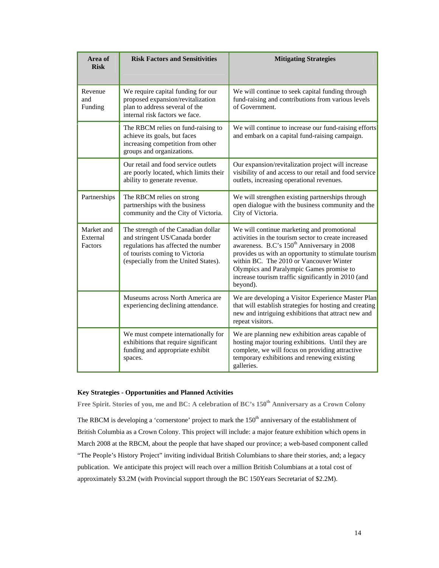| Area of<br><b>Risk</b>                                                                                                                                                                                                      | <b>Risk Factors and Sensitivities</b>                                                                                                       | <b>Mitigating Strategies</b>                                                                                                                                                                                                                                                                                                                                                   |
|-----------------------------------------------------------------------------------------------------------------------------------------------------------------------------------------------------------------------------|---------------------------------------------------------------------------------------------------------------------------------------------|--------------------------------------------------------------------------------------------------------------------------------------------------------------------------------------------------------------------------------------------------------------------------------------------------------------------------------------------------------------------------------|
| Revenue<br>and<br>Funding                                                                                                                                                                                                   | We require capital funding for our<br>proposed expansion/revitalization<br>plan to address several of the<br>internal risk factors we face. | We will continue to seek capital funding through<br>fund-raising and contributions from various levels<br>of Government.                                                                                                                                                                                                                                                       |
| The RBCM relies on fund-raising to<br>achieve its goals, but faces<br>increasing competition from other<br>groups and organizations.                                                                                        |                                                                                                                                             | We will continue to increase our fund-raising efforts<br>and embark on a capital fund-raising campaign.                                                                                                                                                                                                                                                                        |
|                                                                                                                                                                                                                             | Our retail and food service outlets<br>are poorly located, which limits their<br>ability to generate revenue.                               | Our expansion/revitalization project will increase<br>visibility of and access to our retail and food service<br>outlets, increasing operational revenues.                                                                                                                                                                                                                     |
| Partnerships                                                                                                                                                                                                                | The RBCM relies on strong<br>partnerships with the business<br>community and the City of Victoria.                                          | We will strengthen existing partnerships through<br>open dialogue with the business community and the<br>City of Victoria.                                                                                                                                                                                                                                                     |
| Market and<br>The strength of the Canadian dollar<br>and stringent US/Canada border<br>External<br>regulations has affected the number<br>Factors<br>of tourists coming to Victoria<br>(especially from the United States). |                                                                                                                                             | We will continue marketing and promotional<br>activities in the tourism sector to create increased<br>awareness. B.C's 150 <sup>th</sup> Anniversary in 2008<br>provides us with an opportunity to stimulate tourism<br>within BC. The 2010 or Vancouver Winter<br>Olympics and Paralympic Games promise to<br>increase tourism traffic significantly in 2010 (and<br>beyond). |
|                                                                                                                                                                                                                             | Museums across North America are<br>experiencing declining attendance.                                                                      | We are developing a Visitor Experience Master Plan<br>that will establish strategies for hosting and creating<br>new and intriguing exhibitions that attract new and<br>repeat visitors.                                                                                                                                                                                       |
|                                                                                                                                                                                                                             | We must compete internationally for<br>exhibitions that require significant<br>funding and appropriate exhibit<br>spaces.                   | We are planning new exhibition areas capable of<br>hosting major touring exhibitions. Until they are<br>complete, we will focus on providing attractive<br>temporary exhibitions and renewing existing<br>galleries.                                                                                                                                                           |

#### **Key Strategies - Opportunities and Planned Activities**

Free Spirit. Stories of you, me and BC: A celebration of BC's 150<sup>th</sup> Anniversary as a Crown Colony

The RBCM is developing a 'cornerstone' project to mark the  $150<sup>th</sup>$  anniversary of the establishment of British Columbia as a Crown Colony. This project will include: a major feature exhibition which opens in March 2008 at the RBCM, about the people that have shaped our province; a web-based component called "The People's History Project" inviting individual British Columbians to share their stories, and; a legacy publication. We anticipate this project will reach over a million British Columbians at a total cost of approximately \$3.2M (with Provincial support through the BC 150Years Secretariat of \$2.2M).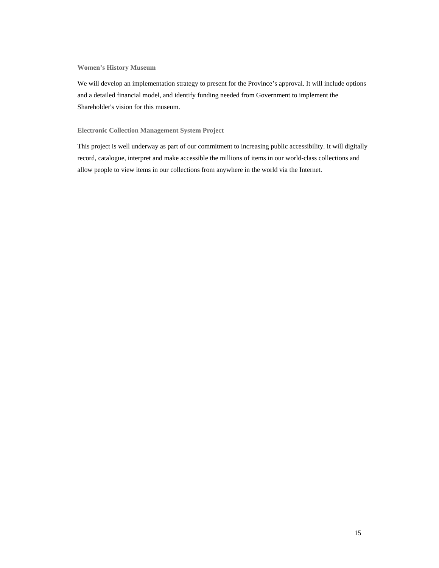**Women's History Museum** 

We will develop an implementation strategy to present for the Province's approval. It will include options and a detailed financial model, and identify funding needed from Government to implement the Shareholder's vision for this museum.

#### **Electronic Collection Management System Project**

This project is well underway as part of our commitment to increasing public accessibility. It will digitally record, catalogue, interpret and make accessible the millions of items in our world-class collections and allow people to view items in our collections from anywhere in the world via the Internet.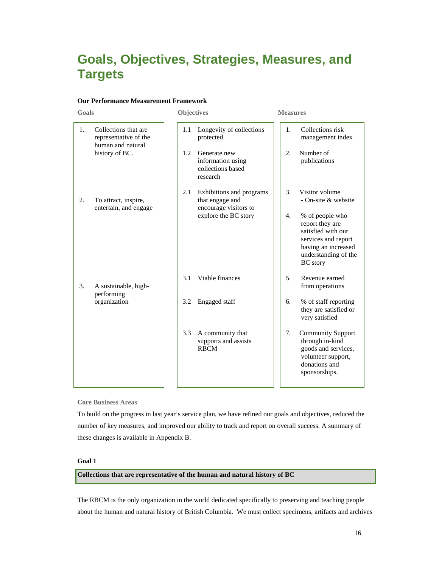### **Goals, Objectives, Strategies, Measures, and Targets**

#### **Our Performance Measurement Framework**

| Goals |                                                                    | <b>Objectives</b> |                                                                      | <b>Measures</b> |                                                                                                                                                   |
|-------|--------------------------------------------------------------------|-------------------|----------------------------------------------------------------------|-----------------|---------------------------------------------------------------------------------------------------------------------------------------------------|
| 1.    | Collections that are<br>representative of the<br>human and natural | 1.1               | Longevity of collections<br>protected                                | 1.              | Collections risk<br>management index                                                                                                              |
|       | history of BC.                                                     | 1.2               | Generate new<br>information using<br>collections based<br>research   | 2.              | Number of<br>publications                                                                                                                         |
| 2.    | To attract, inspire,<br>entertain, and engage                      | 2.1               | Exhibitions and programs<br>that engage and<br>encourage visitors to | 3.              | Visitor volume<br>- On-site & website                                                                                                             |
|       |                                                                    |                   | explore the BC story                                                 | 4.              | % of people who<br>report they are<br>satisfied with our<br>services and report<br>having an increased<br>understanding of the<br><b>BC</b> story |
| 3.    | A sustainable, high-<br>performing                                 | 3.1               | Viable finances                                                      | 5 <sub>1</sub>  | Revenue earned<br>from operations                                                                                                                 |
|       | organization                                                       | 3.2               | Engaged staff                                                        | 6.              | % of staff reporting<br>they are satisfied or<br>very satisfied                                                                                   |
|       |                                                                    | 3.3               | A community that<br>supports and assists<br><b>RBCM</b>              | 7.              | <b>Community Support</b><br>through in-kind<br>goods and services,<br>volunteer support,<br>donations and<br>sponsorships.                        |

#### **Core Business Areas**

To build on the progress in last year's service plan, we have refined our goals and objectives, reduced the number of key measures, and improved our ability to track and report on overall success. A summary of these changes is available in Appendix B.

#### **Goal 1**

#### **Collections that are representative of the human and natural history of BC**

The RBCM is the only organization in the world dedicated specifically to preserving and teaching people about the human and natural history of British Columbia. We must collect specimens, artifacts and archives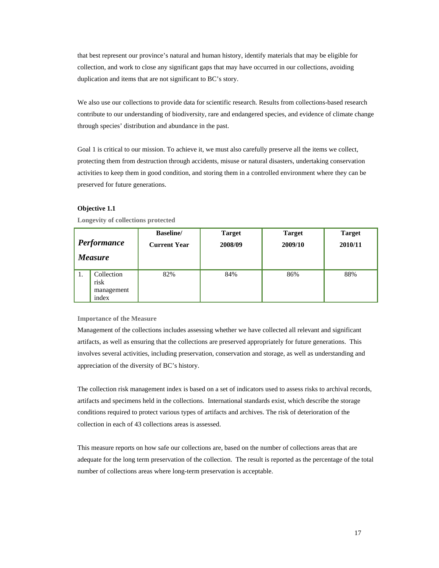that best represent our province's natural and human history, identify materials that may be eligible for collection, and work to close any significant gaps that may have occurred in our collections, avoiding duplication and items that are not significant to BC's story.

We also use our collections to provide data for scientific research. Results from collections-based research contribute to our understanding of biodiversity, rare and endangered species, and evidence of climate change through species' distribution and abundance in the past.

Goal 1 is critical to our mission. To achieve it, we must also carefully preserve all the items we collect, protecting them from destruction through accidents, misuse or natural disasters, undertaking conservation activities to keep them in good condition, and storing them in a controlled environment where they can be preserved for future generations.

#### **Objective 1.1**

| Performance    |                                           | <b>Baseline</b>     | <b>Target</b> | <b>Target</b> | <b>Target</b> |
|----------------|-------------------------------------------|---------------------|---------------|---------------|---------------|
| <i>Measure</i> |                                           | <b>Current Year</b> | 2008/09       | 2009/10       | 2010/11       |
| -1.            | Collection<br>risk<br>management<br>index | 82%                 | 84%           | 86%           | 88%           |

**Longevity of collections protected** 

**Importance of the Measure** 

Management of the collections includes assessing whether we have collected all relevant and significant artifacts, as well as ensuring that the collections are preserved appropriately for future generations. This involves several activities, including preservation, conservation and storage, as well as understanding and appreciation of the diversity of BC's history.

The collection risk management index is based on a set of indicators used to assess risks to archival records, artifacts and specimens held in the collections. International standards exist, which describe the storage conditions required to protect various types of artifacts and archives. The risk of deterioration of the collection in each of 43 collections areas is assessed.

This measure reports on how safe our collections are, based on the number of collections areas that are adequate for the long term preservation of the collection. The result is reported as the percentage of the total number of collections areas where long-term preservation is acceptable.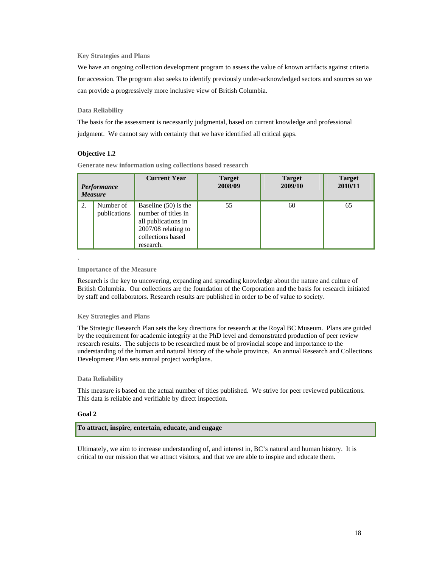#### **Key Strategies and Plans**

We have an ongoing collection development program to assess the value of known artifacts against criteria for accession. The program also seeks to identify previously under-acknowledged sectors and sources so we can provide a progressively more inclusive view of British Columbia.

#### **Data Reliability**

The basis for the assessment is necessarily judgmental, based on current knowledge and professional judgment. We cannot say with certainty that we have identified all critical gaps.

#### **Objective 1.2**

**Generate new information using collections based research**

| Performance    |                           | <b>Current Year</b>                                                                                                           | <b>Target</b> | <b>Target</b> | <b>Target</b> |
|----------------|---------------------------|-------------------------------------------------------------------------------------------------------------------------------|---------------|---------------|---------------|
| <b>Measure</b> |                           |                                                                                                                               | 2008/09       | 2009/10       | 2010/11       |
| 2.             | Number of<br>publications | Baseline $(50)$ is the<br>number of titles in<br>all publications in<br>2007/08 relating to<br>collections based<br>research. | 55            | 60            | 65            |

#### ` **Importance of the Measure**

Research is the key to uncovering, expanding and spreading knowledge about the nature and culture of British Columbia. Our collections are the foundation of the Corporation and the basis for research initiated by staff and collaborators. Research results are published in order to be of value to society.

#### **Key Strategies and Plans**

The Strategic Research Plan sets the key directions for research at the Royal BC Museum. Plans are guided by the requirement for academic integrity at the PhD level and demonstrated production of peer review research results. The subjects to be researched must be of provincial scope and importance to the understanding of the human and natural history of the whole province. An annual Research and Collections Development Plan sets annual project workplans.

#### **Data Reliability**

This measure is based on the actual number of titles published. We strive for peer reviewed publications. This data is reliable and verifiable by direct inspection.

#### **Goal 2**

#### **To attract, inspire, entertain, educate, and engage**

Ultimately, we aim to increase understanding of, and interest in, BC's natural and human history. It is critical to our mission that we attract visitors, and that we are able to inspire and educate them.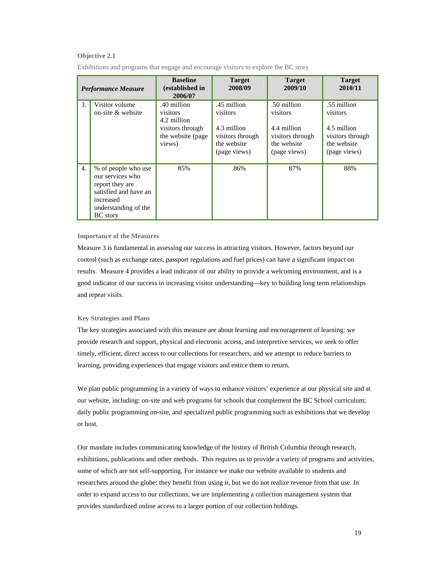#### **Objective 2.1**

| <b>Performance Measure</b> |                                                                                                                                             | <b>Baseline</b><br>(established in<br>2006/07                                              | <b>Target</b><br>2008/09                                                                  | <b>Target</b><br>2009/10                                                                  | <b>Target</b><br>2010/11                                                                  |
|----------------------------|---------------------------------------------------------------------------------------------------------------------------------------------|--------------------------------------------------------------------------------------------|-------------------------------------------------------------------------------------------|-------------------------------------------------------------------------------------------|-------------------------------------------------------------------------------------------|
| 3.                         | Visitor volume<br>on-site $\&$ website                                                                                                      | .40 million<br>visitors<br>4.2 million<br>visitors through<br>the website (page)<br>views) | .45 million<br>visitors<br>4.3 million<br>visitors through<br>the website<br>(page views) | .50 million<br>visitors<br>4.4 million<br>visitors through<br>the website<br>(page views) | .55 million<br>visitors<br>4.5 million<br>visitors through<br>the website<br>(page views) |
| 4.                         | % of people who use<br>our services who<br>report they are<br>satisfied and have an<br>increased<br>understanding of the<br><b>BC</b> story | 85%                                                                                        | 86%                                                                                       | 87%                                                                                       | 88%                                                                                       |

Exhibitions and programs that engage and encourage visitors to explore the BC story

#### **Importance of the Measures**

Measure 3 is fundamental in assessing our success in attracting visitors. However, factors beyond our control (such as exchange rates, passport regulations and fuel prices) can have a significant impact on results. Measure 4 provides a lead indicator of our ability to provide a welcoming environment, and is a good indicator of our success in increasing visitor understanding—key to building long term relationships and repeat visits.

#### **Key Strategies and Plans**

The key strategies associated with this measure are about learning and encouragement of learning: we provide research and support, physical and electronic access, and interpretive services, we seek to offer timely, efficient, direct access to our collections for researchers, and we attempt to reduce barriers to learning, providing experiences that engage visitors and entice them to return.

We plan public programming in a variety of ways to enhance visitors' experience at our physical site and at our website, including: on-site and web programs for schools that complement the BC School curriculum; daily public programming on-site, and specialized public programming such as exhibitions that we develop or host.

Our mandate includes communicating knowledge of the history of British Columbia through research, exhibitions, publications and other methods. This requires us to provide a variety of programs and activities, some of which are not self-supporting. For instance we make our website available to students and researchers around the globe: they benefit from using it, but we do not realize revenue from that use. In order to expand access to our collections, we are implementing a collection management system that provides standardized online access to a larger portion of our collection holdings.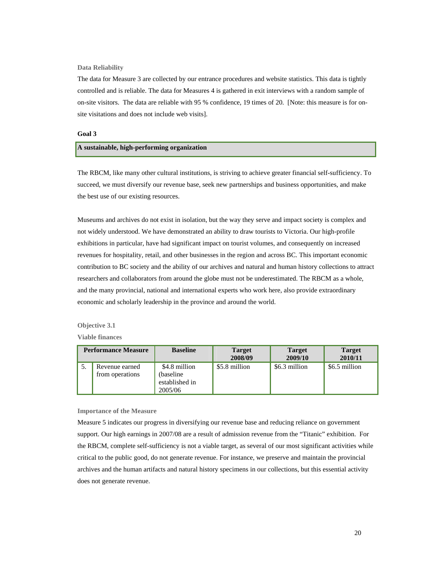**Data Reliability** 

The data for Measure 3 are collected by our entrance procedures and website statistics. This data is tightly controlled and is reliable. The data for Measures 4 is gathered in exit interviews with a random sample of on-site visitors. The data are reliable with 95 % confidence, 19 times of 20. [Note: this measure is for onsite visitations and does not include web visits].

#### **Goal 3**

#### **A sustainable, high-performing organization**

The RBCM, like many other cultural institutions, is striving to achieve greater financial self-sufficiency. To succeed, we must diversify our revenue base, seek new partnerships and business opportunities, and make the best use of our existing resources.

Museums and archives do not exist in isolation, but the way they serve and impact society is complex and not widely understood. We have demonstrated an ability to draw tourists to Victoria. Our high-profile exhibitions in particular, have had significant impact on tourist volumes, and consequently on increased revenues for hospitality, retail, and other businesses in the region and across BC. This important economic contribution to BC society and the ability of our archives and natural and human history collections to attract researchers and collaborators from around the globe must not be underestimated. The RBCM as a whole, and the many provincial, national and international experts who work here, also provide extraordinary economic and scholarly leadership in the province and around the world.

#### **Objective 3.1**

**Viable finances**

| <b>Performance Measure</b> |                                   | <b>Baseline</b>                                         | <b>Target</b><br>2008/09 | <b>Target</b><br>2009/10 | <b>Target</b><br>2010/11 |
|----------------------------|-----------------------------------|---------------------------------------------------------|--------------------------|--------------------------|--------------------------|
|                            | Revenue earned<br>from operations | \$4.8 million<br>(baseline<br>established in<br>2005/06 | \$5.8 million            | \$6.3 million            | \$6.5 million            |

#### **Importance of the Measure**

Measure 5 indicates our progress in diversifying our revenue base and reducing reliance on government support. Our high earnings in 2007/08 are a result of admission revenue from the "Titanic" exhibition. For the RBCM, complete self-sufficiency is not a viable target, as several of our most significant activities while critical to the public good, do not generate revenue. For instance, we preserve and maintain the provincial archives and the human artifacts and natural history specimens in our collections, but this essential activity does not generate revenue.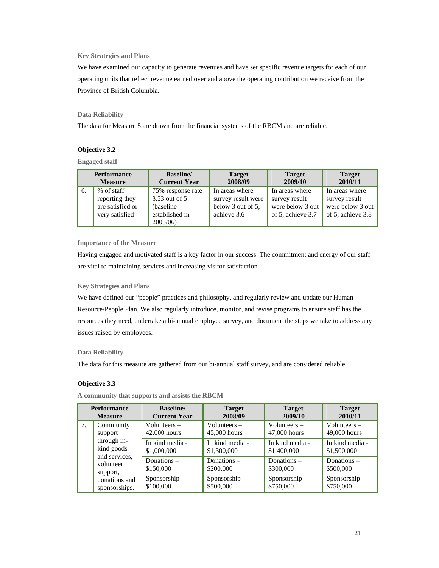#### **Key Strategies and Plans**

We have examined our capacity to generate revenues and have set specific revenue targets for each of our operating units that reflect revenue earned over and above the operating contribution we receive from the Province of British Columbia.

#### **Data Reliability**

The data for Measure 5 are drawn from the financial systems of the RBCM and are reliable.

#### **Objective 3.2**

**Engaged staff**

| <b>Performance</b> |                                                                    | <b>Baseline</b>                                                               | <b>Target</b>                                                            | <b>Target</b>                                                                    | <b>Target</b>                                                            |
|--------------------|--------------------------------------------------------------------|-------------------------------------------------------------------------------|--------------------------------------------------------------------------|----------------------------------------------------------------------------------|--------------------------------------------------------------------------|
| <b>Measure</b>     |                                                                    | <b>Current Year</b>                                                           | 2008/09                                                                  | 2009/10                                                                          | 2010/11                                                                  |
| 6.                 | % of staff<br>reporting they<br>are satisfied or<br>very satisfied | 75% response rate<br>3.53 out of 5<br>(baseline)<br>established in<br>2005/06 | In areas where<br>survey result were<br>below 3 out of 5,<br>achieve 3.6 | In areas where<br>survey result<br>were below 3 out $\vert$<br>of 5, achieve 3.7 | In areas where<br>survey result<br>were below 3 out<br>of 5, achieve 3.8 |

#### **Importance of the Measure**

Having engaged and motivated staff is a key factor in our success. The commitment and energy of our staff are vital to maintaining services and increasing visitor satisfaction.

#### **Key Strategies and Plans**

We have defined our "people" practices and philosophy, and regularly review and update our Human Resource/People Plan. We also regularly introduce, monitor, and revise programs to ensure staff has the resources they need, undertake a bi-annual employee survey, and document the steps we take to address any issues raised by employees.

#### **Data Reliability**

The data for this measure are gathered from our bi-annual staff survey, and are considered reliable.

#### **Objective 3.3**

**A community that supports and assists the RBCM** 

| <b>Performance</b><br><b>Measure</b> |                                                                                             | <b>Baseline</b><br><b>Current Year</b> | <b>Target</b><br>2008/09        | <b>Target</b><br>2009/10        | <b>Target</b><br>2010/11        |
|--------------------------------------|---------------------------------------------------------------------------------------------|----------------------------------------|---------------------------------|---------------------------------|---------------------------------|
| 7.                                   | Community<br>support<br>through in-<br>kind goods<br>and services,<br>volunteer<br>support, | Volunteers $-$<br>42,000 hours         | Volunteers $-$<br>45,000 hours  | Volunteers $-$<br>47,000 hours  | Volunteers $-$<br>49,000 hours  |
|                                      |                                                                                             | In kind media -<br>\$1,000,000         | In kind media -<br>\$1,300,000  | In kind media -<br>\$1,400,000  | In kind media -<br>\$1,500,000  |
|                                      |                                                                                             | Donations $-$<br>\$150,000             | Donations –<br>\$200,000        | Donations $-$<br>\$300,000      | Donations $-$<br>\$500,000      |
|                                      | donations and<br>sponsorships.                                                              | $S$ ponsorship $-$<br>\$100,000        | $S$ ponsorship $-$<br>\$500,000 | $S$ ponsorship $-$<br>\$750,000 | $S$ ponsorship $-$<br>\$750,000 |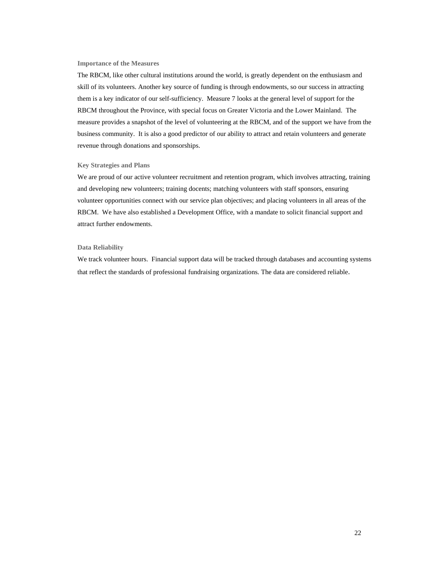#### **Importance of the Measures**

The RBCM, like other cultural institutions around the world, is greatly dependent on the enthusiasm and skill of its volunteers. Another key source of funding is through endowments, so our success in attracting them is a key indicator of our self-sufficiency. Measure 7 looks at the general level of support for the RBCM throughout the Province, with special focus on Greater Victoria and the Lower Mainland. The measure provides a snapshot of the level of volunteering at the RBCM, and of the support we have from the business community. It is also a good predictor of our ability to attract and retain volunteers and generate revenue through donations and sponsorships.

#### **Key Strategies and Plans**

We are proud of our active volunteer recruitment and retention program, which involves attracting, training and developing new volunteers; training docents; matching volunteers with staff sponsors, ensuring volunteer opportunities connect with our service plan objectives; and placing volunteers in all areas of the RBCM. We have also established a Development Office, with a mandate to solicit financial support and attract further endowments.

#### **Data Reliability**

We track volunteer hours. Financial support data will be tracked through databases and accounting systems that reflect the standards of professional fundraising organizations. The data are considered reliable.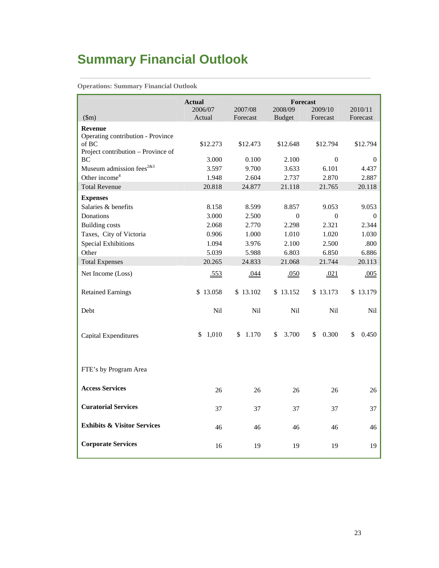# **Summary Financial Outlook**

**Operations: Summary Financial Outlook** 

|                                                   | <b>Actual</b> |            |               | <b>Forecast</b> |             |
|---------------------------------------------------|---------------|------------|---------------|-----------------|-------------|
|                                                   | 2006/07       | 2007/08    | 2008/09       | 2009/10         | 2010/11     |
| \$m\$                                             | Actual        | Forecast   | <b>Budget</b> | Forecast        | Forecast    |
| <b>Revenue</b>                                    |               |            |               |                 |             |
| Operating contribution - Province                 |               |            |               |                 |             |
| of BC<br>Project contribution – Province of       | \$12.273      | \$12.473   | \$12.648      | \$12.794        | \$12.794    |
| BC                                                | 3.000         | 0.100      | 2.100         | $\Omega$        | $\Omega$    |
| Museum admission fees <sup><math>2x3</math></sup> | 3.597         | 9.700      | 3.633         | 6.101           | 4.437       |
| Other income <sup>4</sup>                         | 1.948         | 2.604      | 2.737         | 2.870           | 2.887       |
| <b>Total Revenue</b>                              | 20.818        | 24.877     | 21.118        | 21.765          | 20.118      |
| <b>Expenses</b>                                   |               |            |               |                 |             |
| Salaries & benefits                               | 8.158         | 8.599      | 8.857         | 9.053           | 9.053       |
| Donations                                         | 3.000         | 2.500      | $\theta$      | $\Omega$        | $\theta$    |
| <b>Building costs</b>                             | 2.068         | 2.770      | 2.298         | 2.321           | 2.344       |
| Taxes, City of Victoria                           | 0.906         | $1.000\,$  | 1.010         | 1.020           | 1.030       |
| <b>Special Exhibitions</b>                        | 1.094         | 3.976      | 2.100         | 2.500           | .800        |
| Other                                             | 5.039         | 5.988      | 6.803         | 6.850           | 6.886       |
| <b>Total Expenses</b>                             | 20.265        | 24.833     | 21.068        | 21.744          | 20.113      |
| Net Income (Loss)                                 | .553          | .044       | .050          | .021            | .005        |
| <b>Retained Earnings</b>                          | \$13.058      | \$13.102   | \$13.152      | \$13.173        | \$13.179    |
| Debt                                              | <b>Nil</b>    | <b>Nil</b> | <b>Nil</b>    | <b>Nil</b>      | <b>Nil</b>  |
| <b>Capital Expenditures</b>                       | \$1,010       | \$1.170    | \$<br>3.700   | \$<br>0.300     | \$<br>0.450 |
| FTE's by Program Area                             |               |            |               |                 |             |
| <b>Access Services</b>                            | 26            | 26         | 26            | 26              | 26          |
| <b>Curatorial Services</b>                        | 37            | 37         | 37            | 37              | 37          |
| <b>Exhibits &amp; Visitor Services</b>            | 46            | 46         | 46            | 46              | 46          |
| <b>Corporate Services</b>                         | 16            | 19         | 19            | 19              | 19          |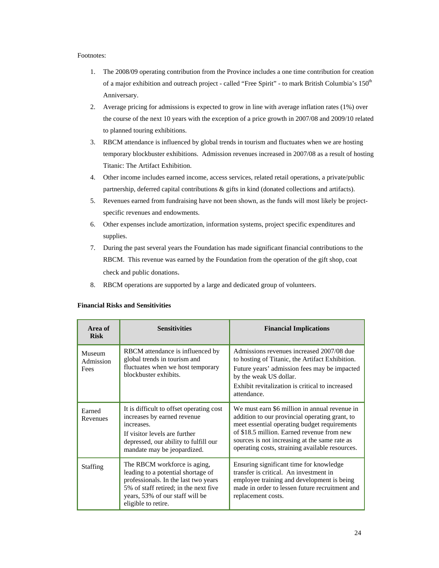#### Footnotes:

- 1. The 2008/09 operating contribution from the Province includes a one time contribution for creation of a major exhibition and outreach project - called "Free Spirit" - to mark British Columbia's 150<sup>th</sup> Anniversary.
- 2. Average pricing for admissions is expected to grow in line with average inflation rates (1%) over the course of the next 10 years with the exception of a price growth in 2007/08 and 2009/10 related to planned touring exhibitions.
- 3. RBCM attendance is influenced by global trends in tourism and fluctuates when we are hosting temporary blockbuster exhibitions. Admission revenues increased in 2007/08 as a result of hosting Titanic: The Artifact Exhibition.
- 4. Other income includes earned income, access services, related retail operations, a private/public partnership, deferred capital contributions & gifts in kind (donated collections and artifacts).
- 5. Revenues earned from fundraising have not been shown, as the funds will most likely be projectspecific revenues and endowments.
- 6. Other expenses include amortization, information systems, project specific expenditures and supplies.
- 7. During the past several years the Foundation has made significant financial contributions to the RBCM. This revenue was earned by the Foundation from the operation of the gift shop, coat check and public donations.
- 8. RBCM operations are supported by a large and dedicated group of volunteers.

| Area of<br><b>Risk</b>      | <b>Sensitivities</b>                                                                                                                                                                                          | <b>Financial Implications</b>                                                                                                                                                                                                                                                                     |
|-----------------------------|---------------------------------------------------------------------------------------------------------------------------------------------------------------------------------------------------------------|---------------------------------------------------------------------------------------------------------------------------------------------------------------------------------------------------------------------------------------------------------------------------------------------------|
| Museum<br>Admission<br>Fees | RBCM attendance is influenced by<br>global trends in tourism and<br>fluctuates when we host temporary<br>blockbuster exhibits.                                                                                | Admissions revenues increased 2007/08 due<br>to hosting of Titanic, the Artifact Exhibition.<br>Future years' admission fees may be impacted<br>by the weak US dollar.<br>Exhibit revitalization is critical to increased<br>attendance.                                                          |
| Earned<br>Revenues          | It is difficult to offset operating cost<br>increases by earned revenue<br>increases.<br>If visitor levels are further<br>depressed, our ability to fulfill our<br>mandate may be jeopardized.                | We must earn \$6 million in annual revenue in<br>addition to our provincial operating grant, to<br>meet essential operating budget requirements<br>of \$18.5 million. Earned revenue from new<br>sources is not increasing at the same rate as<br>operating costs, straining available resources. |
| <b>Staffing</b>             | The RBCM workforce is aging,<br>leading to a potential shortage of<br>professionals. In the last two years<br>5% of staff retired; in the next five<br>years, 53% of our staff will be<br>eligible to retire. | Ensuring significant time for knowledge<br>transfer is critical. An investment in<br>employee training and development is being<br>made in order to lessen future recruitment and<br>replacement costs.                                                                                           |

#### **Financial Risks and Sensitivities**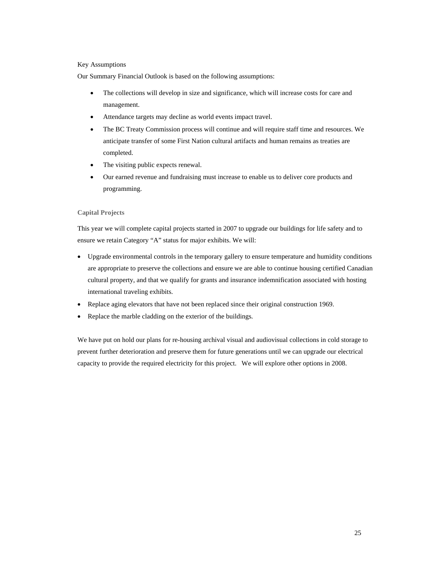#### Key Assumptions

Our Summary Financial Outlook is based on the following assumptions:

- The collections will develop in size and significance, which will increase costs for care and management.
- Attendance targets may decline as world events impact travel.
- The BC Treaty Commission process will continue and will require staff time and resources. We anticipate transfer of some First Nation cultural artifacts and human remains as treaties are completed.
- The visiting public expects renewal.
- Our earned revenue and fundraising must increase to enable us to deliver core products and programming.

#### **Capital Projects**

This year we will complete capital projects started in 2007 to upgrade our buildings for life safety and to ensure we retain Category "A" status for major exhibits. We will:

- Upgrade environmental controls in the temporary gallery to ensure temperature and humidity conditions are appropriate to preserve the collections and ensure we are able to continue housing certified Canadian cultural property, and that we qualify for grants and insurance indemnification associated with hosting international traveling exhibits.
- Replace aging elevators that have not been replaced since their original construction 1969.
- Replace the marble cladding on the exterior of the buildings.

We have put on hold our plans for re-housing archival visual and audiovisual collections in cold storage to prevent further deterioration and preserve them for future generations until we can upgrade our electrical capacity to provide the required electricity for this project. We will explore other options in 2008.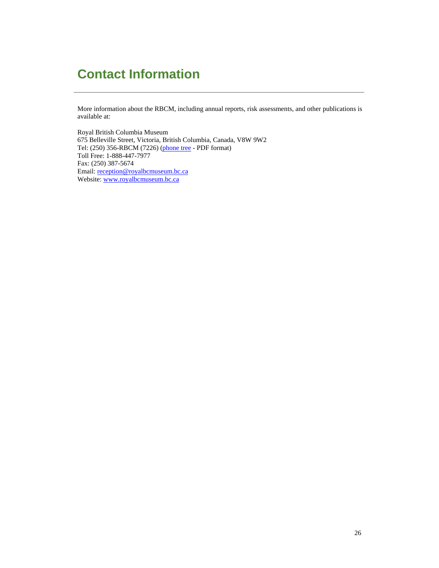## **Contact Information**

More information about the RBCM, including annual reports, risk assessments, and other publications is available at:

Royal British Columbia Museum 675 Belleville Street, Victoria, British Columbia, Canada, V8W 9W2 Tel: (250) 356-RBCM (7226) (phone tree - PDF format) Toll Free: 1-888-447-7977 Fax: (250) 387-5674 Email: reception@royalbcmuseum.bc.ca Website: www.royalbcmuseum.bc.ca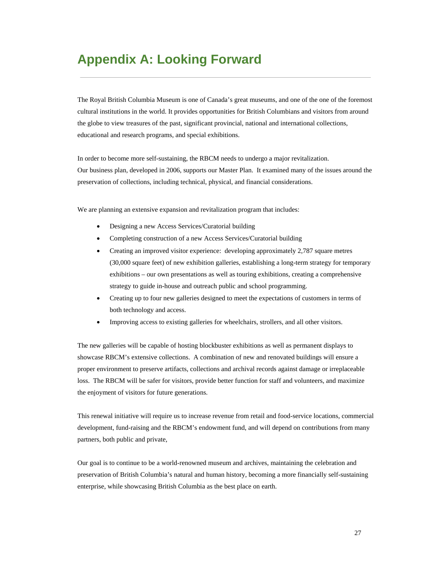### **Appendix A: Looking Forward**

The Royal British Columbia Museum is one of Canada's great museums, and one of the one of the foremost cultural institutions in the world. It provides opportunities for British Columbians and visitors from around the globe to view treasures of the past, significant provincial, national and international collections, educational and research programs, and special exhibitions.

In order to become more self-sustaining, the RBCM needs to undergo a major revitalization. Our business plan, developed in 2006, supports our Master Plan. It examined many of the issues around the preservation of collections, including technical, physical, and financial considerations.

We are planning an extensive expansion and revitalization program that includes:

- Designing a new Access Services/Curatorial building
- Completing construction of a new Access Services/Curatorial building
- Creating an improved visitor experience: developing approximately 2,787 square metres (30,000 square feet) of new exhibition galleries, establishing a long-term strategy for temporary exhibitions – our own presentations as well as touring exhibitions, creating a comprehensive strategy to guide in-house and outreach public and school programming.
- Creating up to four new galleries designed to meet the expectations of customers in terms of both technology and access.
- Improving access to existing galleries for wheelchairs, strollers, and all other visitors.

The new galleries will be capable of hosting blockbuster exhibitions as well as permanent displays to showcase RBCM's extensive collections. A combination of new and renovated buildings will ensure a proper environment to preserve artifacts, collections and archival records against damage or irreplaceable loss. The RBCM will be safer for visitors, provide better function for staff and volunteers, and maximize the enjoyment of visitors for future generations.

This renewal initiative will require us to increase revenue from retail and food-service locations, commercial development, fund-raising and the RBCM's endowment fund, and will depend on contributions from many partners, both public and private,

Our goal is to continue to be a world-renowned museum and archives, maintaining the celebration and preservation of British Columbia's natural and human history, becoming a more financially self-sustaining enterprise, while showcasing British Columbia as the best place on earth.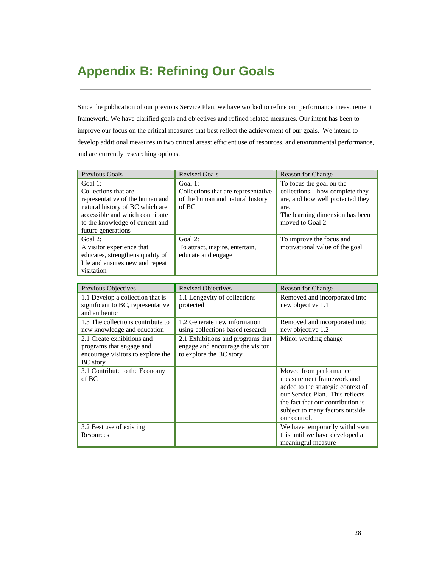## **Appendix B: Refining Our Goals**

Since the publication of our previous Service Plan, we have worked to refine our performance measurement framework. We have clarified goals and objectives and refined related measures. Our intent has been to improve our focus on the critical measures that best reflect the achievement of our goals. We intend to develop additional measures in two critical areas: efficient use of resources, and environmental performance, and are currently researching options.

| Previous Goals                                                                                                                                                                                    | <b>Revised Goals</b>                                                                        | <b>Reason for Change</b>                                                                                                                                     |
|---------------------------------------------------------------------------------------------------------------------------------------------------------------------------------------------------|---------------------------------------------------------------------------------------------|--------------------------------------------------------------------------------------------------------------------------------------------------------------|
| Goal 1:<br>Collections that are<br>representative of the human and<br>natural history of BC which are<br>accessible and which contribute<br>to the knowledge of current and<br>future generations | Goal 1:<br>Collections that are representative<br>of the human and natural history<br>of BC | To focus the goal on the<br>collections—how complete they<br>are, and how well protected they<br>are.<br>The learning dimension has been<br>moved to Goal 2. |
| Goal $2$ :<br>A visitor experience that<br>educates, strengthens quality of<br>life and ensures new and repeat<br>visitation                                                                      | Goal $2$ :<br>To attract, inspire, entertain,<br>educate and engage                         | To improve the focus and<br>motivational value of the goal                                                                                                   |

| Previous Objectives                                                                                            | <b>Revised Objectives</b>                                                                        | <b>Reason for Change</b>                                                                                                                                                                                            |
|----------------------------------------------------------------------------------------------------------------|--------------------------------------------------------------------------------------------------|---------------------------------------------------------------------------------------------------------------------------------------------------------------------------------------------------------------------|
| 1.1 Develop a collection that is<br>significant to BC, representative<br>and authentic                         | 1.1 Longevity of collections<br>protected                                                        | Removed and incorporated into<br>new objective 1.1                                                                                                                                                                  |
| 1.3 The collections contribute to<br>new knowledge and education                                               | 1.2 Generate new information<br>using collections based research                                 | Removed and incorporated into<br>new objective 1.2                                                                                                                                                                  |
| 2.1 Create exhibitions and<br>programs that engage and<br>encourage visitors to explore the<br><b>BC</b> story | 2.1 Exhibitions and programs that<br>engage and encourage the visitor<br>to explore the BC story | Minor wording change                                                                                                                                                                                                |
| 3.1 Contribute to the Economy<br>of BC                                                                         |                                                                                                  | Moved from performance<br>measurement framework and<br>added to the strategic context of<br>our Service Plan. This reflects<br>the fact that our contribution is<br>subject to many factors outside<br>our control. |
| 3.2 Best use of existing<br>Resources                                                                          |                                                                                                  | We have temporarily withdrawn<br>this until we have developed a<br>meaningful measure                                                                                                                               |